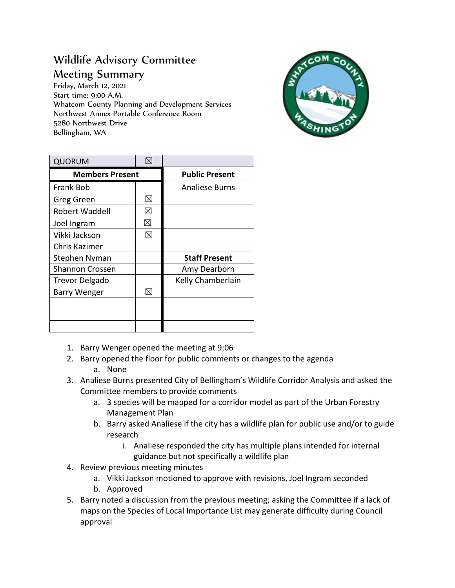## Wildlife Advisory Committee Meeting Summary

Friday, March 12, 2021 Start time: 9:00 A.M. Whatcom County Planning and Development Services Northwest Annex Portable Conference Room 5280 Northwest Drive Bellingham, WA



| <b>QUORUM</b>          | $\boxtimes$ |                       |
|------------------------|-------------|-----------------------|
| <b>Members Present</b> |             | <b>Public Present</b> |
| Frank Bob              |             | <b>Analiese Burns</b> |
| Greg Green             | ⊠           |                       |
| Robert Waddell         | $\boxtimes$ |                       |
| Joel Ingram            | ⊠           |                       |
| Vikki Jackson          | ⊠           |                       |
| Chris Kazimer          |             |                       |
| Stephen Nyman          |             | <b>Staff Present</b>  |
| <b>Shannon Crossen</b> |             | Amy Dearborn          |
| <b>Trevor Delgado</b>  |             | Kelly Chamberlain     |
| <b>Barry Wenger</b>    | ⊠           |                       |
|                        |             |                       |
|                        |             |                       |
|                        |             |                       |

- 1. Barry Wenger opened the meeting at 9:06
- 2. Barry opened the floor for public comments or changes to the agenda
	- a. None
- 3. Analiese Burns presented City of Bellingham's Wildlife Corridor Analysis and asked the Committee members to provide comments
	- a. 3 species will be mapped for a corridor model as part of the Urban Forestry Management Plan
	- b. Barry asked Analiese if the city has a wildlife plan for public use and/or to guide research
		- i. Analiese responded the city has multiple plans intended for internal guidance but not specifically a wildlife plan
- 4. Review previous meeting minutes
	- a. Vikki Jackson motioned to approve with revisions, Joel Ingram seconded
	- b. Approved
- 5. Barry noted a discussion from the previous meeting; asking the Committee if a lack of maps on the Species of Local Importance List may generate difficulty during Council approval